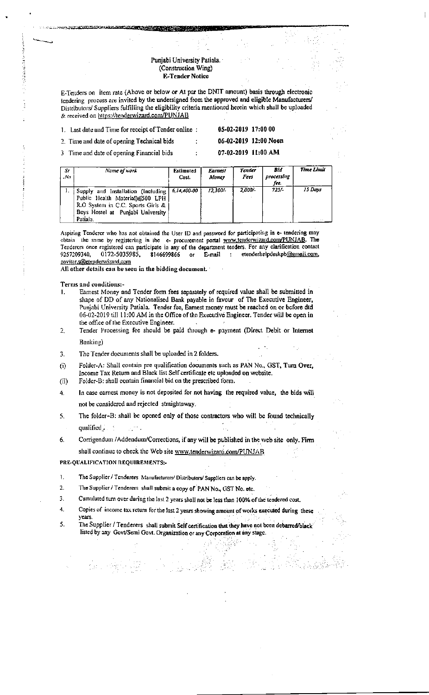## Punjabi University Patiala. (Construction Wing) **E-Tender Notice**

E-Tenders on item rate (Above or below or At par the DNIT amount) basis through electronic tendering process are invited by the undersigned from the approved and eligible Manufacturers/ Distributors/ Suppliers fulfilling the eligibility criteria mentioned herein which shall be uploaded & received on https://tenderwizard.com/PUNJAB

1. Last date and Time for receipt of Tender online :

05-02-2019 17:00 00 06-02-2019 12:00 Noon

2. Time and date of opening Technical bids 3 Time and date of opening Financial bids

**Contract and Contract of the Contract of the Contract of the Contract of the Contract of the Contract of the Contract of the Contract of The Contract of The Contract of The Contract of The Contract of The Contract of The** 

07-02-2019 11:00 AM

Time Limi

| Sr<br>$N\sigma$ | Name of work | Estimated<br>Cost. | Earnest<br>Money | <b>Tender</b><br>Fees | Bid<br>processing<br>fee. |
|-----------------|--------------|--------------------|------------------|-----------------------|---------------------------|

|                                                                                                                                                                |          |           | fee.    |         |
|----------------------------------------------------------------------------------------------------------------------------------------------------------------|----------|-----------|---------|---------|
| Supply and Installation (Including   6.14,400-00<br>Public Health Material) 6500 LPH<br>R.O System in C.C. Sports Girls &<br>Boys Hostel at Puniabi University | 12.300/- | $2.000 -$ | $725/-$ | 15 Days |
| Patiala.                                                                                                                                                       |          |           |         |         |
|                                                                                                                                                                |          |           |         |         |

Aspiring Tenderer who has not obtained the User ID and password for participating in e- tendering may obtain the same by registering in the e- procurement portal www.tenderwizard.com/PUNJAB. The Tenderers once registered can participate in any of the department tenders. For any clarification contact 9257209340. 0172-5035985, 8146699866 or E-mail  $\sim$   $\sim$ etenderhelpdeskpb@gmail.com, pavitar, s@etenderwizard.com

All other details can be seen in the bidding document.

Terms and conditions:-

- Earnest Money and Tender form fees separately of required value shall be submitted in shape of DD of any Nationalised Bank payable in favour of The Executive Engineer, Punjabi University Patiala. Tender fee, Earnest money must be reached on or before dtd 06-02-2019 till 11:00 AM in the Office of the Executive Engineer. Tender will be open in the office of the Executive Engineer.
- Tender Processing fee should be paid through e- payment (Direct Debit or Internet  $\overline{2}$ . Banking)
- The Tender documents shall be uploaded in 2 folders. 3.
- Folder-A: Shall contain pre qualification documents such as PAN No., GST, Turn Over,  $(i)$ Income Tax Return and Black list Self certificate etc uploaded on website.
- Folder-B: shall contain financial bid on the prescribed form.  $(ii)$
- In case carnest money is not deposited for not having the required value, the bids will 4. not be considered and rejected straightaway.
- The folder-B: shall be opened only of those contractors who will be found technically  $\mathsf{S}$ . qualified  $\ldots$ Links.
- Corrigendum /Addendum/Corrections, if any will be published in the web site only. Firm 6. shall continue to check the Web site www.tenderwizard.com/PUNJAB

PRE-OUALIFICATION REQUIREMENTS:-

- $\mathbf{L}$ The Supplier / Tenderers Manufacturers/ Distributors/ Suppliers can be apply.
- The Supplier / Tenderers shall submit a copy of PAN No., GST No. etc.  $2.$
- Cumulated turn over during the last 2 years shall not be less than 100% of the tendered cost.  $\mathbf{3}$
- 4. Copies of income tax return for the last 2 years showing amount of works executed during these
- years.  $\overline{5}$ . The Supplier / Tenderers shall submit Self certification that they have not been debarred/black listed by any Govt/Semi Govt. Organization or any Corporation at any stage.